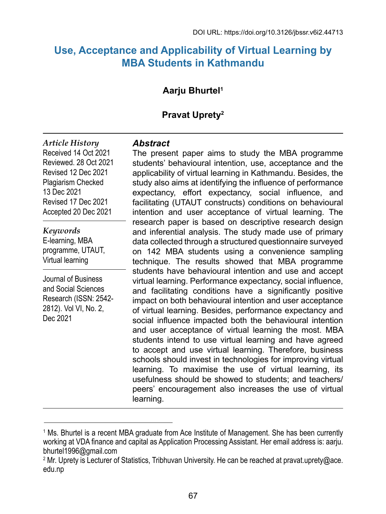# **Use, Acceptance and Applicability of Virtual Learning by MBA Students in Kathmandu**

# **Aarju Bhurtel1**

# **Pravat Uprety2**

*Article History* Received 14 Oct 2021 Reviewed. 28 Oct 2021 Revised 12 Dec 2021 Plagiarism Checked 13 Dec 2021 Revised 17 Dec 2021 Accepted 20 Dec 2021

*Keywords* E-learning, MBA programme, UTAUT, Virtual learning

Journal of Business and Social Sciences Research (ISSN: 2542- 2812). Vol VI, No. 2, Dec 2021

#### *Abstract*

The present paper aims to study the MBA programme students' behavioural intention, use, acceptance and the applicability of virtual learning in Kathmandu. Besides, the study also aims at identifying the influence of performance expectancy, effort expectancy, social influence, and facilitating (UTAUT constructs) conditions on behavioural intention and user acceptance of virtual learning. The research paper is based on descriptive research design and inferential analysis. The study made use of primary data collected through a structured questionnaire surveyed on 142 MBA students using a convenience sampling technique. The results showed that MBA programme students have behavioural intention and use and accept virtual learning. Performance expectancy, social influence, and facilitating conditions have a significantly positive impact on both behavioural intention and user acceptance of virtual learning. Besides, performance expectancy and social influence impacted both the behavioural intention and user acceptance of virtual learning the most. MBA students intend to use virtual learning and have agreed to accept and use virtual learning. Therefore, business schools should invest in technologies for improving virtual learning. To maximise the use of virtual learning, its usefulness should be showed to students; and teachers/ peers' encouragement also increases the use of virtual learning.

<sup>1</sup> Ms. Bhurtel is a recent MBA graduate from Ace Institute of Management. She has been currently working at VDA finance and capital as Application Processing Assistant. Her email address is: aarju. bhurtel1996@gmail.com

<sup>&</sup>lt;sup>2</sup> Mr. Uprety is Lecturer of Statistics, Tribhuvan University. He can be reached at pravat.uprety@ace. edu.np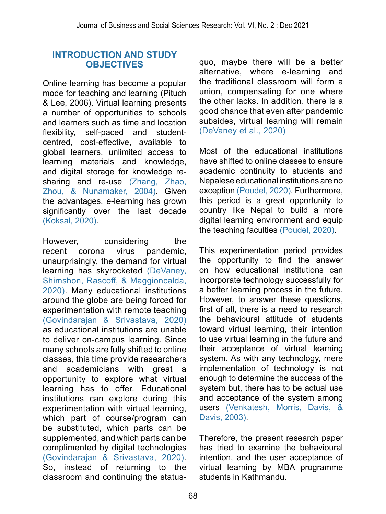### **INTRODUCTION AND STUDY OBJECTIVES**

Online learning has become a popular mode for teaching and learning (Pituch & Lee, 2006). Virtual learning presents a number of opportunities to schools and learners such as time and location flexibility, self-paced and studentcentred, cost-effective, available to global learners, unlimited access to learning materials and knowledge, and digital storage for knowledge resharing and re-use (Zhang, Zhao, Zhou, & Nunamaker, 2004). Given the advantages, e-learning has grown significantly over the last decade [\(Koksal, 2020\)](#page-17-0).

However, considering the recent corona virus pandemic, unsurprisingly, the demand for virtual learning has skyrocketed [\(DeVaney,](#page-16-0) [Shimshon, Rascoff, & Maggioncalda,](#page-16-0) [2020\).](#page-16-0) Many educational institutions around the globe are being forced for experimentation with remote teaching [\(Govindarajan & Srivastava, 2020\)](#page-16-1) as educational institutions are unable to deliver on-campus learning. Since many schools are fully shifted to online classes, this time provide researchers and academicians with great a opportunity to explore what virtual learning has to offer. Educational institutions can explore during this experimentation with virtual learning, which part of course/program can be substituted, which parts can be supplemented, and which parts can be complimented by digital technologies [\(Govindarajan & Srivastava, 2020\)](#page-16-1). So, instead of returning to the classroom and continuing the status-

quo, maybe there will be a better alternative, where e-learning and the traditional classroom will form a union, compensating for one where the other lacks. In addition, there is a good chance that even after pandemic subsides, virtual learning will remain [\(DeVaney et al., 2020\)](#page-16-0)

Most of the educational institutions have shifted to online classes to ensure academic continuity to students and Nepalese educational institutions are no exception [\(Poudel, 2020\)](#page-17-1). Furthermore, this period is a great opportunity to country like Nepal to build a more digital learning environment and equip the teaching faculties [\(Poudel, 2020\).](#page-17-1)

This experimentation period provides the opportunity to find the answer on how educational institutions can incorporate technology successfully for a better learning process in the future. However, to answer these questions, first of all, there is a need to research the behavioural attitude of students toward virtual learning, their intention to use virtual learning in the future and their acceptance of virtual learning system. As with any technology, mere implementation of technology is not enough to determine the success of the system but, there has to be actual use and acceptance of the system among users [\(Venkatesh, Morris, Davis, &](#page-18-0) [Davis, 2003\)](#page-18-0).

Therefore, the present research paper has tried to examine the behavioural intention, and the user acceptance of virtual learning by MBA programme students in Kathmandu.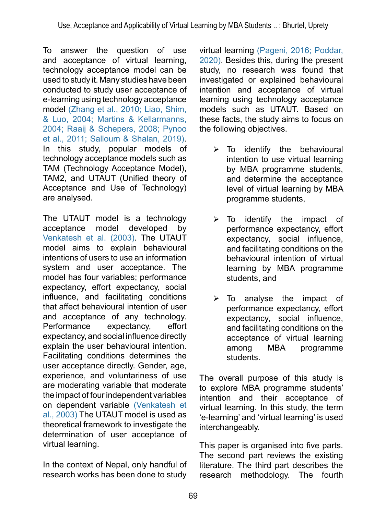To answer the question of use and acceptance of virtual learning, technology acceptance model can be used to study it. Many studies have been conducted to study user acceptance of e-learning using technology acceptance model (Zhang et al., 2010; Liao, Shim, & Luo, 2004; Martins & Kellarmanns, 2004; Raaij & Schepers, 2008; Pynoo et al., 2011; Salloum & Shalan, 2019). In this study, popular models of technology acceptance models such as TAM (Technology Acceptance Model), TAM2, and UTAUT (Unified theory of Acceptance and Use of Technology) are analysed.

The UTAUT model is a [technology](https://en.wikipedia.org/wiki/Technology_acceptance_model)  [acceptance model](https://en.wikipedia.org/wiki/Technology_acceptance_model) developed by [Venkatesh et al. \(2003\).](#page-17-2) The UTAUT model aims to explain behavioural intentions of users to use an [information](https://en.wikipedia.org/wiki/Information_systems)  [system](https://en.wikipedia.org/wiki/Information_systems) and user acceptance. The model has four variables; performance expectancy, effort expectancy, [social](https://en.wikipedia.org/wiki/Social_influence)  [influence](https://en.wikipedia.org/wiki/Social_influence), and facilitating conditions that affect behavioural intention of user and acceptance of any technology. Performance expectancy, effort expectancy, and social influence directly explain the user behavioural intention. Facilitating conditions determines the user acceptance directly. Gender, age, experience, and voluntariness of use are moderating variable that moderate the impact of four independent variables on dependent variable [\(Venkatesh et](#page-18-0)  [al., 2003\)](#page-18-0) The UTAUT model is used as theoretical framework to investigate the determination of user acceptance of virtual learning.

In the context of Nepal, only handful of research works has been done to study

virtual learning [\(Pageni, 2016;](#page-17-3) [Poddar,](#page-17-4)  [2020\).](#page-17-4) Besides this, during the present study, no research was found that investigated or explained behavioural intention and acceptance of virtual learning using technology acceptance models such as UTAUT. Based on these facts, the study aims to focus on the following objectives.

- $\triangleright$  To identify the behavioural intention to use virtual learning by MBA programme students, and determine the acceptance level of virtual learning by MBA programme students,
- $\triangleright$  To identify the impact of performance expectancy, effort expectancy, social influence, and facilitating conditions on the behavioural intention of virtual learning by MBA programme students, and
- $\triangleright$  To analyse the impact of performance expectancy, effort expectancy, social influence, and facilitating conditions on the acceptance of virtual learning among MBA programme students.

The overall purpose of this study is to explore MBA programme students' intention and their acceptance of virtual learning. In this study, the term 'e-learning' and 'virtual learning' is used interchangeably.

This paper is organised into five parts. The second part reviews the existing literature. The third part describes the research methodology. The fourth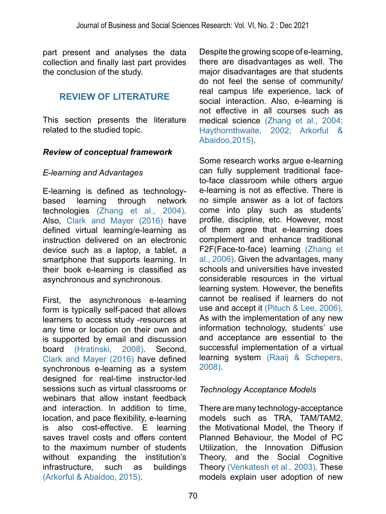part present and analyses the data collection and finally last part provides the conclusion of the study.

## **REVIEW OF LITERATURE**

This section presents the literature related to the studied topic.

#### *Review of conceptual framework*

#### *E-learning and Advantages*

E-learning is defined as technologybased learning through network technologies (Zhang et al., 2004). Also, [Clark and Mayer \(2016\)](#page-16-2) have defined virtual learning/e-learning as instruction delivered on an electronic device such as a laptop, a tablet, a smartphone that supports learning. In their book e-learning is classified as asynchronous and synchronous.

First, the asynchronous e-learning form is typically self-paced that allows learners to access study -resources at any time or location on their own and is supported by email and discussion board [\(Hratinski, 2008\)](#page-16-3). Second, [Clark and Mayer \(2016\)](#page-16-2) have defined synchronous e-learning as a system designed for real-time instructor-led sessions such as virtual classrooms or webinars that allow instant feedback and interaction. In addition to time, location, and pace flexibility, e-learning is also cost-effective. E learning saves travel costs and offers content to the maximum number of students without expanding the institution's infrastructure, such as buildings [\(Arkorful & Abaidoo, 2015\).](#page--1-0)

Despite the growing scope of e-learning, there are disadvantages as well. The major disadvantages are that students do not feel the sense of community/ real campus life experience, lack of social interaction. Also, e-learning is not effective in all courses such as medical science (Zhang et al., 2004; [Haythornthwaite, 2002;](#page-16-4) [Arkorful &](#page-16-5) [Abaidoo,2015\).](#page-16-5)

Some research works argue e-learning can fully supplement traditional faceto-face classroom while others argue e-learning is not as effective. There is no simple answer as a lot of factors come into play such as students' profile, discipline, etc. However, most of them agree that e-learning does complement and enhance traditional F2F(Face-to-face) learning (Zhang et al., 2006). Given the advantages, many schools and universities have invested considerable resources in the virtual learning system. However, the benefits cannot be realised if learners do not use and accept it [\(Pituch & Lee, 2006\)](#page-17-5). As with the implementation of any new information technology, students' use and acceptance are essential to the successful implementation of a virtual learning system [\(Raaij & Schepers,](#page-17-6) [2008\).](#page-17-6)

### *Technology Acceptance Models*

There are many technology-acceptance models such as TRA, TAM/TAM2, the Motivational Model, the Theory if Planned Behaviour, the Model of PC Utilization, the Innovation Diffusion Theory, and the Social Cognitive Theory [\(Venkatesh et al., 2003\).](#page-18-0) These models explain user adoption of new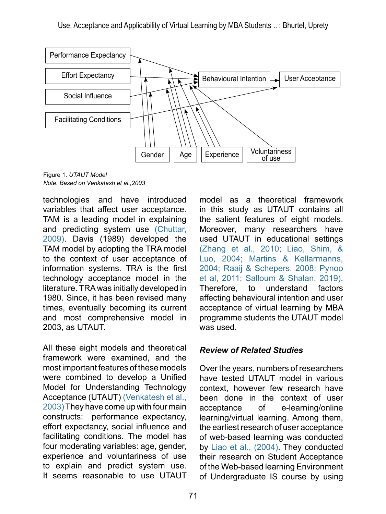

Figure 1. *UTAUT Model Note. Based on Venkatesh et al.,2003*

technologies and have introduced variables that affect user acceptance. TAM is a leading model in explaining and predicting system use [\(Chuttar,](#page-16-6)  [2009\).](#page-16-6) Davis (1989) developed the TAM model by adopting the TRA model to the context of user acceptance of information systems. TRA is the first technology acceptance model in the literature. TRA was initially developed in 1980. Since, it has been revised many times, eventually becoming its current and most comprehensive model in 2003, as UTAUT.

All these eight models and theoretical framework were examined, and the most important features of these models were combined to develop a Unified Model for Understanding Technology Acceptance (UTAUT) [\(Venkatesh et al.,](#page-18-0)  [2003\)](#page-18-0) They have come up with four main constructs: performance expectancy, effort expectancy, social influence and facilitating conditions. The model has four moderating variables: age, gender, experience and voluntariness of use to explain and predict system use. It seems reasonable to use UTAUT

model as a theoretical framework in this study as UTAUT contains all the salient features of eight models. Moreover, many researchers have used UTAUT in educational settings (Zhang et al., 2010; [Liao, Shim, &](#page-17-7)  [Luo, 2004;](#page-17-7) Martins & Kellarmanns, 2004; [Raaij & Schepers, 2008;](#page-17-6) [Pynoo](#page-17-8)  [et al, 2011;](#page-17-8) Salloum & Shalan, 2019). Therefore, to understand factors affecting behavioural intention and user acceptance of virtual learning by MBA programme students the UTAUT model was used.

### *Review of Related Studies*

Over the years, numbers of researchers have tested UTAUT model in various context, however few research have been done in the context of user acceptance of e-learning/online learning/virtual learning. Among them, the earliest research of user acceptance of web-based learning was conducted by [Liao et al., \(2004\).](#page-17-7) They conducted their research on Student Acceptance of the Web-based learning Environment of Undergraduate IS course by using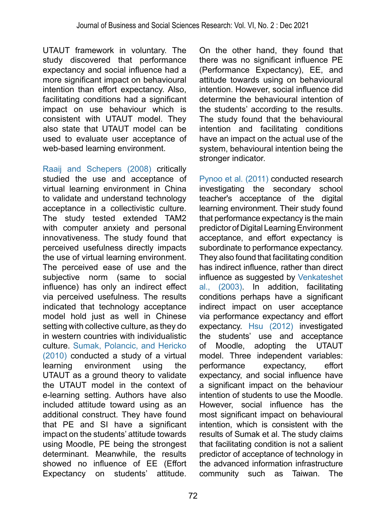UTAUT framework in voluntary. The study discovered that performance expectancy and social influence had a more significant impact on behavioural intention than effort expectancy. Also, facilitating conditions had a significant impact on use behaviour which is consistent with UTAUT model. They also state that UTAUT model can be used to evaluate user acceptance of web-based learning environment.

[Raaij and Schepers \(2008\)](#page-17-6) critically studied the use and acceptance of virtual learning environment in China to validate and understand technology acceptance in a collectivistic culture. The study tested extended TAM2 with computer anxiety and personal innovativeness. The study found that perceived usefulness directly impacts the use of virtual learning environment. The perceived ease of use and the subjective norm (same to social influence) has only an indirect effect via perceived usefulness. The results indicated that technology acceptance model hold just as well in Chinese setting with collective culture, as they do in western countries with individualistic culture. [Sumak, Polancic, and Hericko](#page-17-9) [\(2010\)](#page-17-9) conducted a study of a virtual learning environment using the UTAUT as a ground theory to validate the UTAUT model in the context of e-learning setting. Authors have also included attitude toward using as an additional construct. They have found that PE and SI have a significant impact on the students' attitude towards using Moodle, PE being the strongest determinant. Meanwhile, the results showed no influence of EE (Effort Expectancy on students' attitude.

On the other hand, they found that there was no significant influence PE (Performance Expectancy), EE, and attitude towards using on behavioural intention. However, social influence did determine the behavioural intention of the students' according to the results. The study found that the behavioural intention and facilitating conditions have an impact on the actual use of the system, behavioural intention being the stronger indicator.

[Pynoo et al. \(2011\)](#page-17-8) conducted research investigating the secondary school teacher's acceptance of the digital learning environment. Their study found that performance expectancy is the main predictor of Digital Learning Environment acceptance, and effort expectancy is subordinate to performance expectancy. They also found that facilitating condition has indirect influence, rather than direct influence as suggested by [Venkateshet](#page-18-0) [al., \(2003\).](#page-18-0) In addition, facilitating conditions perhaps have a significant indirect impact on user acceptance via performance expectancy and effort expectancy. [Hsu \(2012\)](#page-16-7) investigated the students' use and acceptance of Moodle, adopting the UTAUT model. Three independent variables: performance expectancy, effort expectancy, and social influence have a significant impact on the behaviour intention of students to use the Moodle. However, social influence has the most significant impact on behavioural intention, which is consistent with the results of Sumak et al. The study claims that facilitating condition is not a salient predictor of acceptance of technology in the advanced information infrastructure community such as Taiwan. The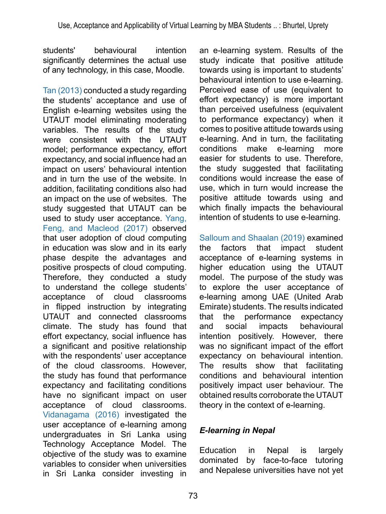students' behavioural intention significantly determines the actual use of any technology, in this case, Moodle.

[Tan \(2013\)](#page-17-10) conducted a study regarding the students' acceptance and use of English e-learning websites using the UTAUT model eliminating moderating variables. The results of the study were consistent with the UTAUT model; performance expectancy, effort expectancy, and social influence had an impact on users' behavioural intention and in turn the use of the website. In addition, facilitating conditions also had an impact on the use of websites. The study suggested that UTAUT can be used to study user acceptance. Yang, Feng, and Macleod (2017) observed that user adoption of cloud computing in education was slow and in its early phase despite the advantages and positive prospects of cloud computing. Therefore, they conducted a study to understand the college students' acceptance of cloud classrooms in flipped instruction by integrating UTAUT and connected classrooms climate. The study has found that effort expectancy, social influence has a significant and positive relationship with the respondents' user acceptance of the cloud classrooms. However, the study has found that performance expectancy and facilitating conditions have no significant impact on user acceptance of cloud classrooms. [Vidanagama \(2016\)](#page-18-1) investigated the user acceptance of e-learning among undergraduates in Sri Lanka using Technology Acceptance Model. The objective of the study was to examine variables to consider when universities in Sri Lanka consider investing in

an e-learning system. Results of the study indicate that positive attitude towards using is important to students' behavioural intention to use e-learning. Perceived ease of use (equivalent to effort expectancy) is more important than perceived usefulness (equivalent to performance expectancy) when it comes to positive attitude towards using e-learning. And in turn, the facilitating conditions make e-learning more easier for students to use. Therefore, the study suggested that facilitating conditions would increase the ease of use, which in turn would increase the positive attitude towards using and which finally impacts the behavioural intention of students to use e-learning.

Salloum and Shaalan (2019) examined the factors that impact student acceptance of e-learning systems in higher education using the UTAUT model. The purpose of the study was to explore the user acceptance of e-learning among UAE (United Arab Emirate) students. The results indicated that the performance expectancy and social impacts behavioural intention positively. However, there was no significant impact of the effort expectancy on behavioural intention. The results show that facilitating conditions and behavioural intention positively impact user behaviour. The obtained results corroborate the UTAUT theory in the context of e-learning.

### *E-learning in Nepal*

Education in Nepal is largely dominated by face-to-face tutoring and Nepalese universities have not yet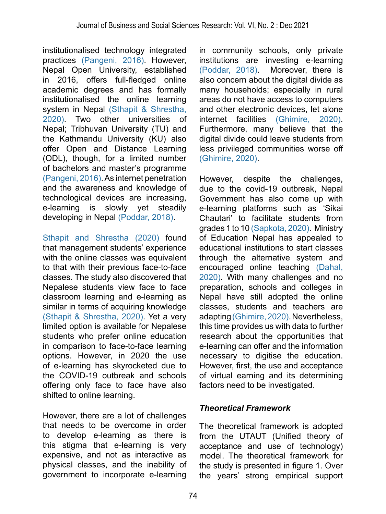institutionalised technology integrated practices [\(Pangeni, 2016\)](#page-17-3). However, Nepal Open University, established in 2016, offers full-fledged online academic degrees and has formally institutionalised the online learning system in Nepal [\(Sthapit & Shrestha,](#page-17-11) [2020\).](#page-17-11) Two other universities of Nepal; Tribhuvan University (TU) and the Kathmandu University (KU) also offer Open and Distance Learning (ODL), though, for a limited number of bachelors and master's programme [\(Pangeni, 2016\).](#page-17-3) As internet penetration and the awareness and knowledge of technological devices are increasing,<br>e-learning is slowly yet steadily slowly yet steadily developing in Nepal [\(Poddar, 2018\).](#page-17-4)

[Sthapit and Shrestha \(2020\)](#page-17-11) found that management students' experience with the online classes was equivalent to that with their previous face-to-face classes. The study also discovered that Nepalese students view face to face classroom learning and e-learning as similar in terms of acquiring knowledge [\(Sthapit & Shrestha, 2020\)](#page-17-11). Yet a very limited option is available for Nepalese students who prefer online education in comparison to face-to-face learning options. However, in 2020 the use of e-learning has skyrocketed due to the COVID-19 outbreak and schools offering only face to face have also shifted to online learning.

However, there are a lot of challenges that needs to be overcome in order to develop e-learning as there is this stigma that e-learning is very expensive, and not as interactive as physical classes, and the inability of government to incorporate e-learning

in community schools, only private institutions are investing e-learning [\(Poddar, 2018\)](#page-17-4). Moreover, there is also concern about the digital divide as many households; especially in rural areas do not have access to computers and other electronic devices, let alone internet facilities [\(Ghimire, 2020\)](#page-16-8). Furthermore, many believe that the digital divide could leave students from less privileged communities worse off [\(Ghimire, 2020\).](#page-16-8)

However, despite the challenges, due to the covid-19 outbreak, Nepal Government has also come up with e-learning platforms such as 'Sikai Chautari' to facilitate students from grades 1 to 10 (Sapkota, 2020). Ministry of Education Nepal has appealed to educational institutions to start classes through the alternative system and encouraged online teaching (Dahal, 2020). With many challenges and no preparation, schools and colleges in Nepal have still adopted the online classes, students and teachers are adapting [\(Ghimire, 2020\).](#page-16-8) Nevertheless, this time provides us with data to further research about the opportunities that e-learning can offer and the information necessary to digitise the education. However, first, the use and acceptance of virtual earning and its determining factors need to be investigated.

### *Theoretical Framework*

The theoretical framework is adopted from the UTAUT (Unified theory of acceptance and use of technology) model. The theoretical framework for the study is presented in figure 1. Over the years' strong empirical support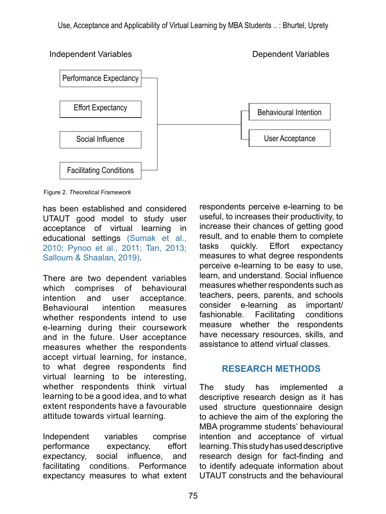Performance Expectancy Effort Expectancy Social Influence Facilitating Conditions Behavioural Intention User Acceptance

Independent Variables Dependent Variables

Figure 2. *Theoretical Framework*

has been established and considered UTAUT good model to study user acceptance of virtual learning in educational settings [\(Sumak et al.,](#page-17-9)  [2010;](#page-17-9) [Pynoo et al., 2011;](#page-17-8) [Tan, 2013;](#page-17-10) Salloum & Shaalan, 2019).

There are two dependent variables which comprises of behavioural intention and user acceptance. Behavioural intention measures whether respondents intend to use e-learning during their coursework and in the future. User acceptance measures whether the respondents accept virtual learning, for instance, to what degree respondents find virtual learning to be interesting, whether respondents think virtual learning to be a good idea, and to what extent respondents have a favourable attitude towards virtual learning.

Independent variables comprise performance expectancy, effort expectancy, social influence, and facilitating conditions. Performance expectancy measures to what extent

respondents perceive e-learning to be useful, to increases their productivity, to increase their chances of getting good result, and to enable them to complete tasks quickly. Effort expectancy measures to what degree respondents perceive e-learning to be easy to use, learn, and understand. Social influence measures whether respondents such as teachers, peers, parents, and schools consider e-learning as important/ fashionable. Facilitating conditions measure whether the respondents have necessary resources, skills, and assistance to attend virtual classes.

### **RESEARCH METHODS**

The study has implemented a descriptive research design as it has used structure questionnaire design to achieve the aim of the exploring the MBA programme students' behavioural intention and acceptance of virtual learning. This study has used descriptive research design for fact-finding and to identify adequate information about UTAUT constructs and the behavioural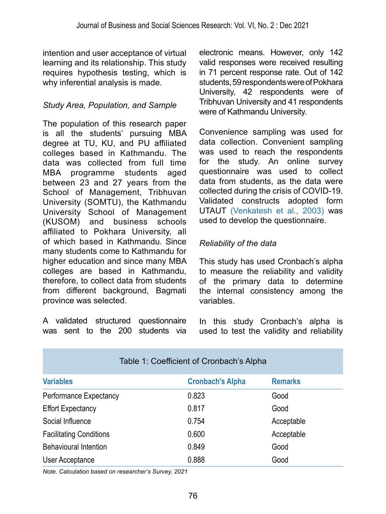intention and user acceptance of virtual learning and its relationship. This study requires hypothesis testing, which is why inferential analysis is made.

### *Study Area, Population, and Sample*

The population of this research paper is all the students' pursuing MBA degree at TU, KU, and PU affiliated colleges based in Kathmandu. The data was collected from full time MBA programme students aged between 23 and 27 years from the School of Management, Tribhuvan University (SOMTU), the Kathmandu University School of Management (KUSOM) and business schools affiliated to Pokhara University, all of which based in Kathmandu. Since many students come to Kathmandu for higher education and since many MBA colleges are based in Kathmandu, therefore, to collect data from students from different background, Bagmati province was selected.

A validated structured questionnaire was sent to the 200 students via electronic means. However, only 142 valid responses were received resulting in 71 percent response rate. Out of 142 students, 59 respondents were of Pokhara University, 42 respondents were of Tribhuvan University and 41 respondents were of Kathmandu University.

Convenience sampling was used for data collection. Convenient sampling was used to reach the respondents for the study. An online survey questionnaire was used to collect data from students, as the data were collected during the crisis of COVID-19. Validated constructs adopted form UTAUT [\(Venkatesh et al., 2003\)](#page-18-0) was used to develop the questionnaire.

### *Reliability of the data*

This study has used Cronbach's alpha to measure the reliability and validity of the primary data to determine the internal consistency among the variables.

In this study Cronbach's alpha is used to test the validity and reliability

| Table 1: Coefficient of Cronbach's Alpha |                         |                |  |  |
|------------------------------------------|-------------------------|----------------|--|--|
| <b>Variables</b>                         | <b>Cronbach's Alpha</b> | <b>Remarks</b> |  |  |
| Performance Expectancy                   | 0.823                   | Good           |  |  |
| <b>Effort Expectancy</b>                 | 0.817                   | Good           |  |  |
| Social Influence                         | 0.754                   | Acceptable     |  |  |
| <b>Facilitating Conditions</b>           | 0.600                   | Acceptable     |  |  |
| <b>Behavioural Intention</b>             | 0.849                   | Good           |  |  |
| User Acceptance                          | 0.888                   | Good           |  |  |

*Note. Calculation based on researcher's Survey, 2021*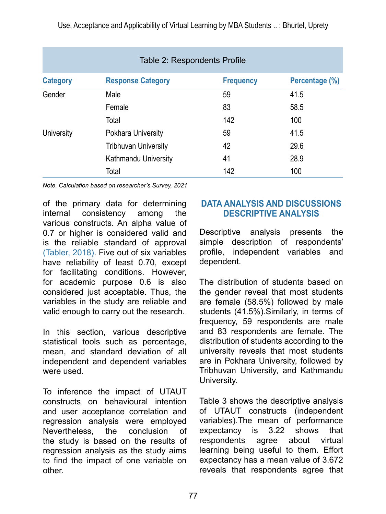Use, Acceptance and Applicability of Virtual Learning by MBA Students .. : Bhurtel, Uprety

| Table 2: Respondents Profile |                             |                  |                |  |
|------------------------------|-----------------------------|------------------|----------------|--|
| <b>Category</b>              | <b>Response Category</b>    | <b>Frequency</b> | Percentage (%) |  |
| Gender                       | Male                        | 59               | 41.5           |  |
|                              | Female                      | 83               | 58.5           |  |
|                              | Total                       | 142              | 100            |  |
| University                   | Pokhara University          | 59               | 41.5           |  |
|                              | <b>Tribhuvan University</b> | 42               | 29.6           |  |
|                              | Kathmandu University        | 41               | 28.9           |  |
|                              | Total                       | 142              | 100            |  |

*Note. Calculation based on researcher's Survey, 2021*

of the primary data for determining internal consistency among the various constructs. An alpha value of 0.7 or higher is considered valid and is the reliable standard of approval (Tabler, 2018). Five out of six variables have reliability of least 0.70, except for facilitating conditions. However, for academic purpose 0.6 is also considered just acceptable. Thus, the variables in the study are reliable and valid enough to carry out the research.

In this section, various descriptive statistical tools such as percentage, mean, and standard deviation of all independent and dependent variables were used.

To inference the impact of UTAUT constructs on behavioural intention and user acceptance correlation and regression analysis were employed Nevertheless, the conclusion of the study is based on the results of regression analysis as the study aims to find the impact of one variable on other.

### **DATA ANALYSIS AND DISCUSSIONS DESCRIPTIVE ANALYSIS**

Descriptive analysis presents the simple description of respondents' profile, independent variables and dependent.

The distribution of students based on the gender reveal that most students are female (58.5%) followed by male students (41.5%).Similarly, in terms of frequency, 59 respondents are male and 83 respondents are female. The distribution of students according to the university reveals that most students are in Pokhara University, followed by Tribhuvan University, and Kathmandu University.

Table 3 shows the descriptive analysis of UTAUT constructs (independent variables).The mean of performance expectancy is 3.22 shows that respondents agree about virtual learning being useful to them. Effort expectancy has a mean value of 3.672 reveals that respondents agree that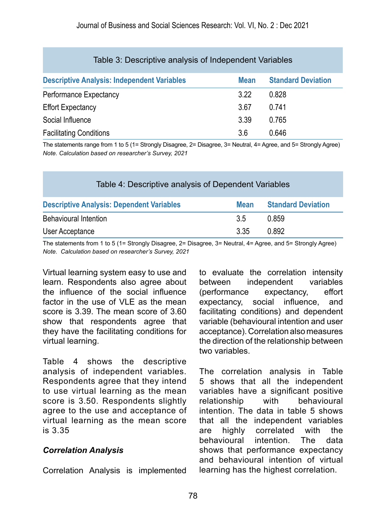| Table 3: Descriptive analysis of Independent Variables |             |                           |  |  |  |
|--------------------------------------------------------|-------------|---------------------------|--|--|--|
| <b>Descriptive Analysis: Independent Variables</b>     | <b>Mean</b> | <b>Standard Deviation</b> |  |  |  |
| Performance Expectancy                                 | 3.22        | 0.828                     |  |  |  |
| <b>Effort Expectancy</b>                               | 3.67        | 0.741                     |  |  |  |
| Social Influence                                       | 3.39        | 0.765                     |  |  |  |
| <b>Facilitating Conditions</b>                         | 3.6         | 0.646                     |  |  |  |

The statements range from 1 to 5 (1= Strongly Disagree, 2= Disagree, 3= Neutral, 4= Agree, and 5= Strongly Agree) *Note. Calculation based on researcher's Survey, 2021*

| Table 4: Descriptive analysis of Dependent Variables |             |                           |  |  |
|------------------------------------------------------|-------------|---------------------------|--|--|
| <b>Descriptive Analysis: Dependent Variables</b>     | <b>Mean</b> | <b>Standard Deviation</b> |  |  |
| <b>Behavioural Intention</b>                         | 35          | 0.859                     |  |  |
| User Acceptance                                      | 3.35        | 0.892                     |  |  |

The statements from 1 to 5 (1= Strongly Disagree, 2= Disagree, 3= Neutral, 4= Agree, and 5= Strongly Agree) *Note. Calculation based on researcher's Survey, 2021*

Virtual learning system easy to use and learn. Respondents also agree about the influence of the social influence factor in the use of VLE as the mean score is 3.39. The mean score of 3.60 show that respondents agree that they have the facilitating conditions for virtual learning.

Table 4 shows the descriptive analysis of independent variables. Respondents agree that they intend to use virtual learning as the mean score is 3.50. Respondents slightly agree to the use and acceptance of virtual learning as the mean score is 3.35

### *Correlation Analysis*

Correlation Analysis is implemented

to evaluate the correlation intensity between independent (performance expectancy, effort expectancy, social influence, and facilitating conditions) and dependent variable (behavioural intention and user acceptance). Correlation also measures the direction of the relationship between two variables.

The correlation analysis in Table 5 shows that all the independent variables have a significant positive relationship with behavioural intention. The data in table 5 shows that all the independent variables are highly correlated with the behavioural intention. The data shows that performance expectancy and behavioural intention of virtual learning has the highest correlation.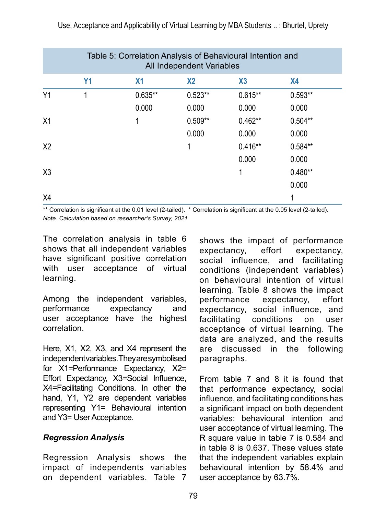| Table 5: Correlation Analysis of Behavioural Intention and<br>All Independent Variables |                |                |                |           |                |  |
|-----------------------------------------------------------------------------------------|----------------|----------------|----------------|-----------|----------------|--|
|                                                                                         | Y <sub>1</sub> | X <sub>1</sub> | X <sub>2</sub> | X3        | X <sub>4</sub> |  |
| Υ1                                                                                      | 1              | $0.635**$      | $0.523**$      | $0.615**$ | $0.593**$      |  |
|                                                                                         |                | 0.000          | 0.000          | 0.000     | 0.000          |  |
| X1                                                                                      |                | 1              | $0.509**$      | $0.462**$ | $0.504**$      |  |
|                                                                                         |                |                | 0.000          | 0.000     | 0.000          |  |
| X <sub>2</sub>                                                                          |                |                | 1              | $0.416**$ | $0.584**$      |  |
|                                                                                         |                |                |                | 0.000     | 0.000          |  |
| X <sub>3</sub>                                                                          |                |                |                | 1         | $0.480**$      |  |
|                                                                                         |                |                |                |           | 0.000          |  |
| X4                                                                                      |                |                |                |           |                |  |

\*\* Correlation is significant at the 0.01 level (2-tailed). \* Correlation is significant at the 0.05 level (2-tailed). *Note. Calculation based on researcher's Survey, 2021*

The correlation analysis in table 6 shows that all independent variables have significant positive correlation with user acceptance of virtual learning.

Among the independent variables, performance expectancy and user acceptance have the highest correlation.

Here, X1, X2, X3, and X4 represent the independent variables. They are symbolised for X1=Performance Expectancy, X2= Effort Expectancy, X3=Social Influence, X4=Facilitating Conditions. In other the hand, Y1, Y2 are dependent variables representing Y1= Behavioural intention and Y3= User Acceptance.

### *Regression Analysis*

Regression Analysis shows the impact of independents variables on dependent variables. Table 7

shows the impact of performance expectancy, effort expectancy, social influence, and facilitating conditions (independent variables) on behavioural intention of virtual learning. Table 8 shows the impact performance expectancy, effort expectancy, social influence, and facilitating conditions on user acceptance of virtual learning. The data are analyzed, and the results are discussed in the following paragraphs.

From table 7 and 8 it is found that that performance expectancy, social influence, and facilitating conditions has a significant impact on both dependent variables: behavioural intention and user acceptance of virtual learning. The R square value in table 7 is 0.584 and in table 8 is 0.637. These values state that the independent variables explain behavioural intention by 58.4% and user acceptance by 63.7%.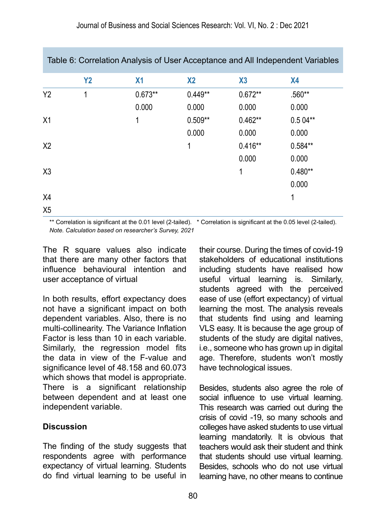| Table 6: Correlation Analysis of User Acceptance and All Independent Variables |           |                |                |           |           |
|--------------------------------------------------------------------------------|-----------|----------------|----------------|-----------|-----------|
|                                                                                | <b>Y2</b> | X <sub>1</sub> | X <sub>2</sub> | X3        | <b>X4</b> |
| <b>Y2</b>                                                                      | 1         | $0.673**$      | $0.449**$      | $0.672**$ | .560**    |
|                                                                                |           | 0.000          | 0.000          | 0.000     | 0.000     |
| X1                                                                             |           | 1              | $0.509**$      | $0.462**$ | $0.504**$ |
|                                                                                |           |                | 0.000          | 0.000     | 0.000     |
| X <sub>2</sub>                                                                 |           |                | 1              | $0.416**$ | $0.584**$ |
|                                                                                |           |                |                | 0.000     | 0.000     |
| X3                                                                             |           |                |                | 1         | $0.480**$ |
|                                                                                |           |                |                |           | 0.000     |
| X4                                                                             |           |                |                |           | 1         |
| X <sub>5</sub>                                                                 |           |                |                |           |           |

\*\* Correlation is significant at the 0.01 level (2-tailed). \* Correlation is significant at the 0.05 level (2-tailed). *Note. Calculation based on researcher's Survey, 2021*

The R square values also indicate that there are many other factors that influence behavioural intention and user acceptance of virtual

In both results, effort expectancy does not have a significant impact on both dependent variables. Also, there is no multi-collinearity. The Variance Inflation Factor is less than 10 in each variable. Similarly, the regression model fits the data in view of the F-value and significance level of 48.158 and 60.073 which shows that model is appropriate. There is a significant relationship between dependent and at least one independent variable.

### **Discussion**

The finding of the study suggests that respondents agree with performance expectancy of virtual learning. Students do find virtual learning to be useful in

their course. During the times of covid-19 stakeholders of educational institutions including students have realised how useful virtual learning is. Similarly, students agreed with the perceived ease of use (effort expectancy) of virtual learning the most. The analysis reveals that students find using and learning VLS easy. It is because the age group of students of the study are digital natives, i.e., someone who has grown up in digital age. Therefore, students won't mostly have technological issues.

Besides, students also agree the role of social influence to use virtual learning. This research was carried out during the crisis of covid -19, so many schools and colleges have asked students to use virtual learning mandatorily. It is obvious that teachers would ask their student and think that students should use virtual learning. Besides, schools who do not use virtual learning have, no other means to continue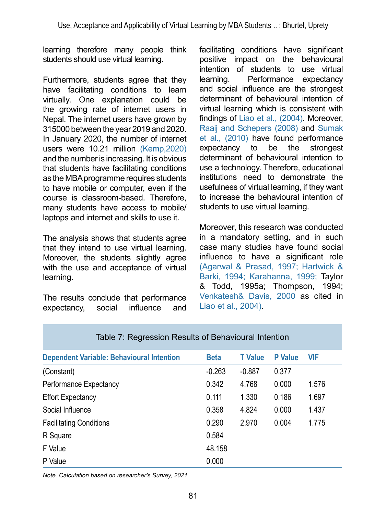learning therefore many people think students should use virtual learning.

Furthermore, students agree that they have facilitating conditions to learn virtually. One explanation could be the growing rate of internet users in Nepal. The internet users have grown by 315000 between the year 2019 and 2020. In January 2020, the number of internet users were 10.21 million [\(Kemp,2020\)](#page-16-9) and the number is increasing. It is obvious that students have facilitating conditions as the MBA programme requires students to have mobile or computer, even if the course is classroom-based. Therefore, many students have access to mobile/ laptops and internet and skills to use it.

The analysis shows that students agree that they intend to use virtual learning. Moreover, the students slightly agree with the use and acceptance of virtual learning.

The results conclude that performance expectancy, social influence and

facilitating conditions have significant positive impact on the behavioural intention of students to use virtual learning. Performance expectancy and social influence are the strongest determinant of behavioural intention of virtual learning which is consistent with findings of [Liao et al., \(2004\).](#page-17-7) Moreover, [Raaij and Schepers \(2008\)](#page-17-6) and [Sumak](#page-17-9)  [et al., \(2010\)](#page-17-9) have found performance<br>expectancy to be the strongest expectancy to be the strongest determinant of behavioural intention to use a technology. Therefore, educational institutions need to demonstrate the usefulness of virtual learning, if they want to increase the behavioural intention of students to use virtual learning.

Moreover, this research was conducted in a mandatory setting, and in such case many studies have found social influence to have a significant role [\(Agarwal & Prasad, 1997;](#page-16-10) [Hartwick &](#page-16-11)  [Barki, 1994;](#page-16-11) [Karahanna, 1999;](#page-16-12) Taylor & Todd, 1995a; Thompson, 1994; [Venkatesh& Davis, 2000](#page-17-2) as cited in [Liao et al., 2004\).](#page-17-7)

| Table 7: Regression Results of Benavioural Intention |             |                |                |            |  |  |
|------------------------------------------------------|-------------|----------------|----------------|------------|--|--|
| <b>Dependent Variable: Behavioural Intention</b>     | <b>Beta</b> | <b>T</b> Value | <b>P</b> Value | <b>VIF</b> |  |  |
| (Constant)                                           | $-0.263$    | $-0.887$       | 0.377          |            |  |  |
| Performance Expectancy                               | 0.342       | 4.768          | 0.000          | 1.576      |  |  |
| <b>Effort Expectancy</b>                             | 0.111       | 1.330          | 0.186          | 1.697      |  |  |
| Social Influence                                     | 0.358       | 4.824          | 0.000          | 1.437      |  |  |
| <b>Facilitating Conditions</b>                       | 0.290       | 2.970          | 0.004          | 1.775      |  |  |
| R Square                                             | 0.584       |                |                |            |  |  |
| F Value                                              | 48.158      |                |                |            |  |  |
| P Value                                              | 0.000       |                |                |            |  |  |

#### Table 7: Regression Results of Behavioural Intention

*Note. Calculation based on researcher's Survey, 2021*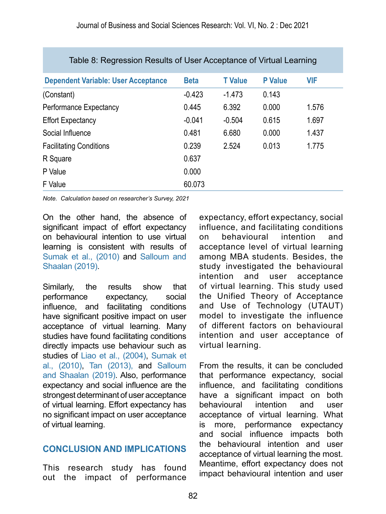| Table 8: Regression Results of User Acceptance of Virtual Learning |             |                |                |            |  |  |
|--------------------------------------------------------------------|-------------|----------------|----------------|------------|--|--|
| <b>Dependent Variable: User Acceptance</b>                         | <b>Beta</b> | <b>T</b> Value | <b>P</b> Value | <b>VIF</b> |  |  |
| (Constant)                                                         | $-0.423$    | $-1.473$       | 0.143          |            |  |  |
| Performance Expectancy                                             | 0.445       | 6.392          | 0.000          | 1.576      |  |  |
| <b>Effort Expectancy</b>                                           | $-0.041$    | $-0.504$       | 0.615          | 1.697      |  |  |
| Social Influence                                                   | 0.481       | 6.680          | 0.000          | 1.437      |  |  |
| <b>Facilitating Conditions</b>                                     | 0.239       | 2.524          | 0.013          | 1.775      |  |  |
| R Square                                                           | 0.637       |                |                |            |  |  |
| P Value                                                            | 0.000       |                |                |            |  |  |
| F Value                                                            | 60.073      |                |                |            |  |  |

*Note. Calculation based on researcher's Survey, 2021*

On the other hand, the absence of significant impact of effort expectancy on behavioural intention to use virtual learning is consistent with results of [Sumak et al., \(2010\)](#page-17-9) and Salloum and Shaalan (2019).

Similarly, the results show that performance expectancy, social influence, and facilitating conditions have significant positive impact on user acceptance of virtual learning. Many studies have found facilitating conditions directly impacts use behaviour such as studies of [Liao et al., \(2004\),](#page-17-7) [Sumak et](#page-17-9) [al., \(2010\)](#page-17-9), [Tan \(2013\),](#page-17-10) and Salloum and Shaalan (2019). Also, performance expectancy and social influence are the strongest determinant of user acceptance of virtual learning. Effort expectancy has no significant impact on user acceptance of virtual learning.

### **CONCLUSION AND IMPLICATIONS**

This research study has found out the impact of performance

expectancy, effort expectancy, social influence, and facilitating conditions on behavioural intention and acceptance level of virtual learning among MBA students. Besides, the study investigated the behavioural intention and user acceptance of virtual learning. This study used the Unified Theory of Acceptance and Use of Technology (UTAUT) model to investigate the influence of different factors on behavioural intention and user acceptance of virtual learning.

From the results, it can be concluded that performance expectancy, social influence, and facilitating conditions have a significant impact on both<br>behavioural intention and user behavioural intention and user acceptance of virtual learning. What is more, performance expectancy and social influence impacts both the behavioural intention and user acceptance of virtual learning the most. Meantime, effort expectancy does not impact behavioural intention and user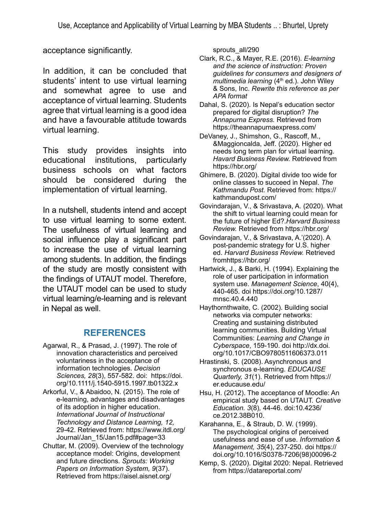acceptance significantly.

In addition, it can be concluded that students' intent to use virtual learning and somewhat agree to use and acceptance of virtual learning. Students agree that virtual learning is a good idea and have a favourable attitude towards virtual learning.

This study provides insights into educational institutions, particularly business schools on what factors should be considered during the implementation of virtual learning.

In a nutshell, students intend and accept to use virtual learning to some extent. The usefulness of virtual learning and social influence play a significant part to increase the use of virtual learning among students. In addition, the findings of the study are mostly consistent with the findings of UTAUT model. Therefore, the UTAUT model can be used to study virtual learning/e-learning and is relevant in Nepal as well.

### **REFERENCES**

- <span id="page-16-10"></span>Agarwal, R., & Prasad, J. (1997). The role of innovation characteristics and perceived voluntariness in the acceptance of information technologies. *Decision Sciences, 28*(3), 557-582. doi: [https://doi.](https://doi.org/10.1111/j.1540-5915.1997.tb01322.x) [org/10.1111/j.1540-5915.1997.tb01322.x](https://doi.org/10.1111/j.1540-5915.1997.tb01322.x)
- [Arkorful, V., & Abaidoo, N. \(2015\).](#page--1-1) The role of e-learning, advantages and disadvantages of its adoption in higher education. *International Journal of Instructional Technology and Distance Learning, 12,*  29-42. Retrieved from: https://www.itdl.org/ Journal/Jan\_15/Jan15.pdf#page=33
- <span id="page-16-6"></span>[Chuttar, M. \(2009\). Overview of the technology](#page--1-1)  [acceptance model: Origins, development](#page--1-1)  [and future directions.](#page--1-1) *Sprouts: Working [Papers on Information System, 9](#page--1-1)*(37). [Retrieved from https://aisel.aisnet.org/](#page--1-1)

[sprouts\\_all/290](#page--1-1)

- <span id="page-16-2"></span>Clark, R.C., & Mayer, R.E. (2016). *E-learning and the science of instruction: Proven guidelines for consumers and designers of multimedia learning* (4th ed.)*.* John Wiley & Sons, Inc. *Rewrite this reference as per APA format*
- Dahal, S. (2020). Is Nepal's education sector prepared for digital disruption? *The Annapurna Express.* Retrieved from https://theannapurnaexpress.com/
- <span id="page-16-0"></span>DeVaney, J., Shimshon, G., Rascoff, M., &Maggioncalda, Jeff. (2020). Higher ed needs long term plan for virtual learning. *Havard Business Review.* Retrieved from <https://hbr.org/>
- <span id="page-16-8"></span>Ghimere, B. (2020). Digital divide too wide for online classes to succeed in Nepal. *The Kathmandu Post.* Retrieved from: [https://](https://kathmandupost.com/) [kathmandupost.com/](https://kathmandupost.com/)
- <span id="page-16-1"></span>Govindarajan, V., & Srivastava, A. (2020). What the shift to virtual learning could mean for the future of higher Ed?.*Harvard Business Review.* Retrieved from<https://hbr.org/>
- Govindarajan, V., & Srivastava, A.'(2020). A post-pandemic strategy for U.S. higher ed. *Harvard Business Review.* Retrieved from<https://hbr.org/>
- <span id="page-16-11"></span>Hartwick, J., & Barki, H. (1994). Explaining the role of user participation in information system use. *Management Science*, 40(4), 440-465. doi [https://doi.org/10.1287/](https://doi.org/10.1287/mnsc.40.4.440) [mnsc.40.4.440](https://doi.org/10.1287/mnsc.40.4.440)
- <span id="page-16-4"></span>Haythornthwaite, C. (2002). Building social networks via computer networks: Creating and sustaining distributed learning communities. Building Virtual Communities: *Learning and Change in Cyberspace*, 159-190. doi [http://dx.doi.](http://dx.doi.org/10.1017/CBO9780511606373.011) [org/10.1017/CBO9780511606373.011](http://dx.doi.org/10.1017/CBO9780511606373.011)
- <span id="page-16-3"></span>Hrastinski, S. (2008). Asynchronous and synchronous e-learning. *EDUCAUSE Quarterly, 31*(1). Retrieved from https:// er.educause.edu/
- <span id="page-16-7"></span><span id="page-16-5"></span>Hsu, H. (2012). The acceptance of Moodle: An empirical study based on UTAUT. *Creative Education. 3*(8)*,* 44-46. doi:10.4236/ ce.2012.38B010.
- <span id="page-16-12"></span>Karahanna, E., & Straub, D. W. (1999). The psychological origins of perceived usefulness and ease of use. *Information & Management, 35*(4), 237-250. doi [https://](https://doi.org/10.1016/S0378-7206(98)00096-2) [doi.org/10.1016/S0378-7206\(98\)00096-2](https://doi.org/10.1016/S0378-7206(98)00096-2)
- <span id="page-16-9"></span>Kemp, S. (2020). Digital 2020: Nepal. Retrieved from https://datareportal.com/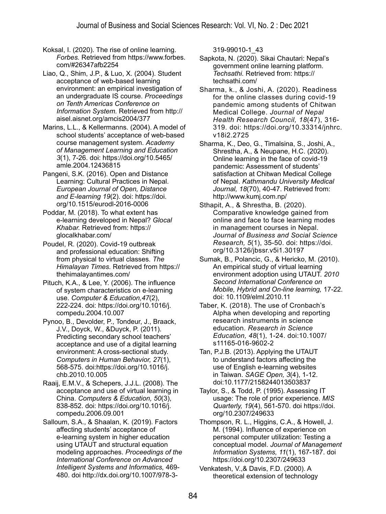<span id="page-17-0"></span>Koksal, I. (2020). The rise of online learning. *Forbes.* Retrieved from https://www.forbes. com/#26347afb2254

<span id="page-17-7"></span>Liao, Q., Shim, J.P., & Luo, X. (2004). Student acceptance of web-based learning environment: an empirical investigation of an undergraduate IS course. *Proceedings on Tenth Americas Conference on Information System.* Retrieved from http:// aisel.aisnet.org/amcis2004/377

Marins, L.L., & Kellermanns. (2004). A model of school students' acceptance of web-based course management system. *Academy of Management Learning and Education 3*(1), 7-26. doi: [https://doi.org/10.5465/](https://doi.org/10.5465/amle.2004.12436815) [amle.2004.12436815](https://doi.org/10.5465/amle.2004.12436815)

<span id="page-17-3"></span>Pangeni, S.K. (2016). Open and Distance Learning: Cultural Practices in Nepal. *European Journal of Open, Distance and E-learning 19*(2). doi: [https://doi.](https://doi.org/10.1515/eurodl-2016-0006) [org/10.1515/eurodl-2016-0006](https://doi.org/10.1515/eurodl-2016-0006)

<span id="page-17-4"></span>Poddar, M. (2018). To what extent has e-learning developed in Nepal? *Glocal Khabar.* Retrieved from: [https://](https://glocalkhabar.com/) [glocalkhabar.com/](https://glocalkhabar.com/)

<span id="page-17-1"></span>Poudel, R. (2020). Covid-19 outbreak and professional education: Shifting from physical to virtual classes. *The Himalayan Times.* Retrieved from [https://](https://thehimalayantimes.com/) [thehimalayantimes.com/](https://thehimalayantimes.com/)

<span id="page-17-5"></span>Pituch, K.A., & Lee, Y. (2006). The influence of system characteristics on e-learning use. *Computer & Education,47*(2), 222-224. doi: [https://doi.org/10.1016/j.](https://doi.org/10.1016/j.compedu.2004.10.007) [compedu.2004.10.007](https://doi.org/10.1016/j.compedu.2004.10.007)

<span id="page-17-8"></span>Pynoo, B., Devolder, P., Tondeur, J., Braack, J.V., Doyck, W., &Duyck, P. (2011). Predicting secondary school teachers' acceptance and use of a digital learning environment: A cross-sectional study. *Computers in Human Behavior, 27*(1), 568-575. doi[:https://doi.org/10.1016/j.](https://doi.org/10.1016/j.chb.2010.10.005) [chb.2010.10.005](https://doi.org/10.1016/j.chb.2010.10.005)

<span id="page-17-6"></span>Raaij, E.M.V., & Schepers, J.J.L. (2008). The acceptance and use of virtual learning in China. *Computers & Education, 50*(3), 838-852. doi: https://doi.org/10.1016/j. compedu.2006.09.001

Salloum, S.A., & Shaalan, K. (2019). Factors affecting students' acceptance of e-learning system in higher education using UTAUT and structural equation modeling approaches. *Proceedings of the International Conference on Advanced Intelligent Systems and Informatics,* 469- 480. doi [http://dx.doi.org/10.1007/978-3-](http://dx.doi.org/10.1007/978-3-319-99010-1_43) [319-99010-1\\_43](http://dx.doi.org/10.1007/978-3-319-99010-1_43)

Sapkota, N. (2020). Sikai Chautari: Nepal's government online learning platform. *Techsathi.* Retrieved from: https:// techsathi.com/

Sharma, k., & Joshi, A. (2020). Readiness for the online classes during covid-19 pandemic among students of Chitwan Medical College. *Journal of Nepal Health Research Council, 18*(47), 316- 319. doi: https://doi.org/10.33314/jnhrc. v18i2.2725

Sharma, K., Deo, G., Timalsina, S., Joshi, A., Shrestha, A., & Neupane, H.C. (2020). Online learning in the face of covid-19 pandemic: Assessment of students' satisfaction at Chitwan Medical College of Nepal. *Kathmandu University Medical Journal, 18*(70), 40-47. Retrieved from: <http://www.kumj.com.np/>

<span id="page-17-11"></span>Sthapit, A., & Shrestha, B. (2020). Comparative knowledge gained from online and face to face learning modes in management courses in Nepal. *Journal of Business and Social Science Research, 5*(1), 35-50. doi: https://doi. org/10.3126/jbssr.v5i1.30197

<span id="page-17-9"></span>Sumak, B., Polancic, G., & Hericko, M. (2010). An empirical study of virtual learning environment adoption using UTAUT. *2010 Second International Conference on Mobile, Hybrid and On-line learning,* 17-22*.*  doi: 10.1109/elml.2010.11

Taber, K. (2018). The use of Cronbach's Alpha when developing and reporting research instruments in science education. *Research in Science Education, 48*(1), 1-24. doi:10.1007/ s11165-016-9602-2

<span id="page-17-10"></span>Tan, P.J.B. (2013). Applying the UTAUT to understand factors affecting the use of English e-learning websites in Taiwan. *SAGE Open, 3*(4), 1-12. doi:10.1177/2158244013503837

Taylor, S., & Todd, P. (1995). Assessing IT usage: The role of prior experience. *MIS Quarterly, 19*(4), 561-570. doi [https://doi.](https://doi.org/10.2307/249633) [org/10.2307/249633](https://doi.org/10.2307/249633)

<span id="page-17-2"></span>Thompson, R. L., Higgins, C.A., & Howell, J. M. (1994). Influence of experience on personal computer utilization: Testing a conceptual model. *Journal of Management Information Systems, 11*(1), 167-187. doi <https://doi.org/10.2307/249633>

Venkatesh, V.,& Davis, F.D. (2000). A theoretical extension of technology